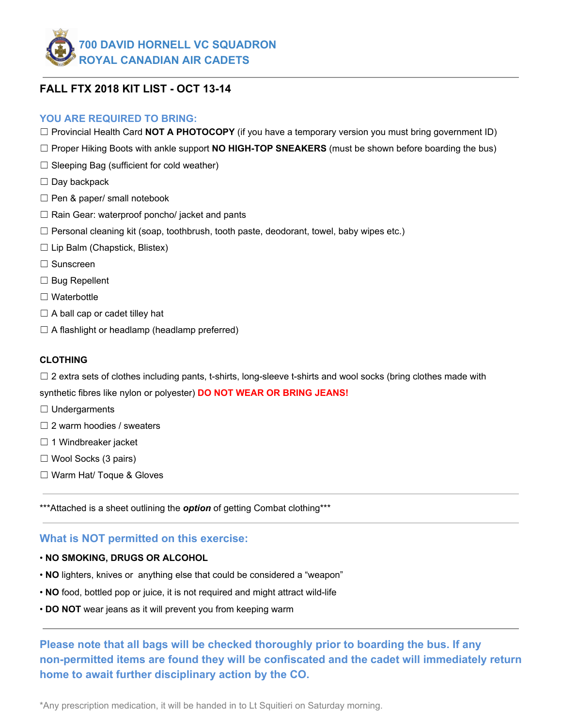

# **FALL FTX 2018 KIT LIST - OCT 13-14**

## **YOU ARE REQUIRED TO BRING:**

- ☐ Provincial Health Card **NOT A PHOTOCOPY** (if you have a temporary version you must bring government ID)
- ☐ Proper Hiking Boots with ankle support **NO HIGH-TOP SNEAKERS** (must be shown before boarding the bus)
- $\Box$  Sleeping Bag (sufficient for cold weather)
- $\Box$  Day backpack
- $\Box$  Pen & paper/ small notebook
- $\Box$  Rain Gear: waterproof poncho/ jacket and pants
- $\Box$  Personal cleaning kit (soap, toothbrush, tooth paste, deodorant, towel, baby wipes etc.)
- $\Box$  Lip Balm (Chapstick, Blistex)
- ☐ Sunscreen
- $\Box$  Bug Repellent
- □ Waterbottle
- $\Box$  A ball cap or cadet tilley hat
- $\Box$  A flashlight or headlamp (headlamp preferred)

## **CLOTHING**

 $\Box$  2 extra sets of clothes including pants, t-shirts, long-sleeve t-shirts and wool socks (bring clothes made with

synthetic fibres like nylon or polyester) **DO NOT WEAR OR BRING JEANS!**

- □ Undergarments
- $\Box$  2 warm hoodies / sweaters
- $\Box$  1 Windbreaker jacket
- ☐ Wool Socks (3 pairs)
- ☐ Warm Hat/ Toque & Gloves

\*\*\*Attached is a sheet outlining the **option** of getting Combat clothing\*\*\*

## **What is NOT permitted on this exercise:**

- **NO SMOKING, DRUGS OR ALCOHOL**
- **NO** lighters, knives or anything else that could be considered a "weapon"
- **NO** food, bottled pop or juice, it is not required and might attract wild-life
- **DO NOT** wear jeans as it will prevent you from keeping warm

**Please note that all bags will be checked thoroughly prior to boarding the bus. If any non-permitted items are found they will be confiscated and the cadet will immediately return home to await further disciplinary action by the CO.**

\*Any prescription medication, it will be handed in to Lt Squitieri on Saturday morning.